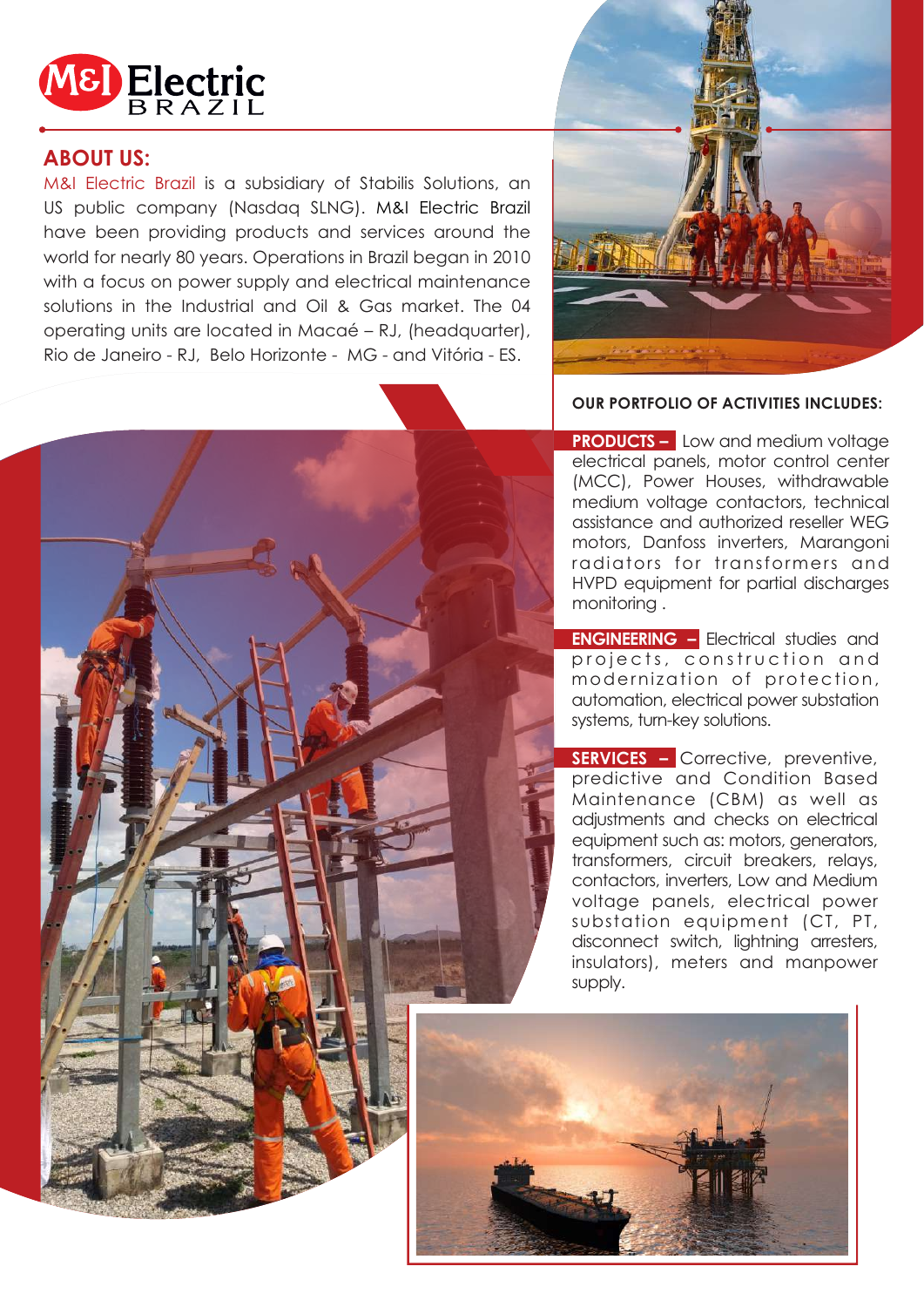

### **ABOUT US:**

M&I Electric Brazil is a subsidiary of Stabilis Solutions, an US public company (Nasdaq SLNG). M&I Electric Brazil have been providing products and services around the world for nearly 80 years. Operations in Brazil began in 2010 with a focus on power supply and electrical maintenance solutions in the Industrial and Oil & Gas market. The 04 operating units are located in Macaé – RJ, (headquarter), Rio de Janeiro - RJ, Belo Horizonte - MG - and Vitória - ES.



### **OUR PORTFOLIO OF ACTIVITIES INCLUDES:**

**PRODUCTS –** Low and medium voltage electrical panels, motor control center (MCC), Power Houses, withdrawable medium voltage contactors, technical assistance and authorized reseller WEG motors, Danfoss inverters, Marangoni radiators for transformers and HVPD equipment for partial discharges monitoring .

**ENGINEERING –** Electrical studies and projects, construction and modernization of protection, automation, electrical power substation systems, turn-key solutions.

**SERVICES –** Corrective, preventive, predictive and Condition Based Maintenance (CBM) as well as adjustments and checks on electrical equipment such as: motors, generators, transformers, circuit breakers, relays, contactors, inverters, Low and Medium voltage panels, electrical power substation equipment (CT, PT, disconnect switch, lightning arresters, insulators), meters and manpower supply.

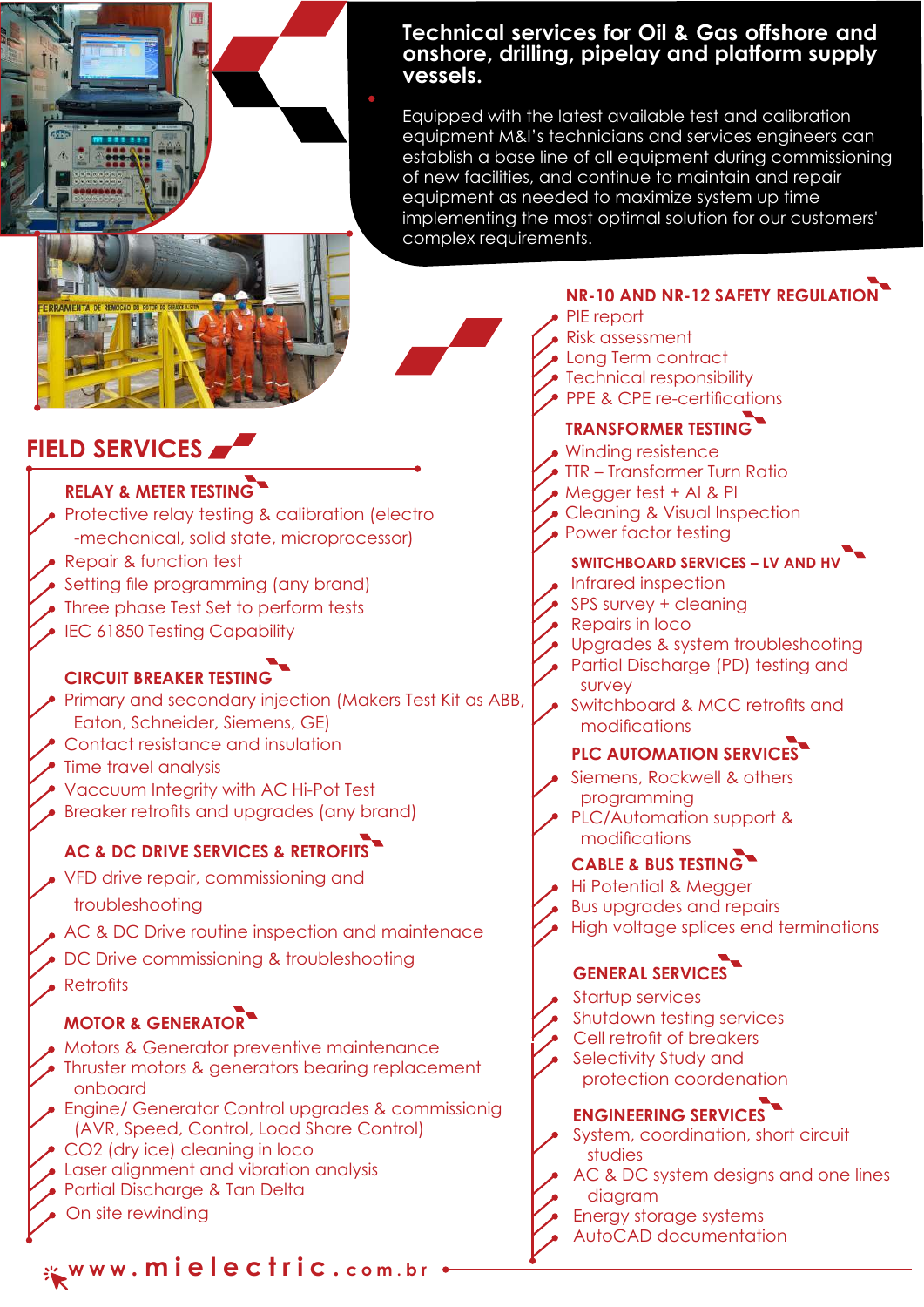

### **Technical services for Oil & Gas offshore and onshore, drilling, pipelay and platform supply vessels.**

Equipped with the latest available test and calibration equipment M&I's technicians and services engineers can establish a base line of all equipment during commissioning of new facilities, and continue to maintain and repair equipment as needed to maximize system up time implementing the most optimal solution for our customers' complex requirements.



# **FIELD SERVICES**

## **RELAY & METER TESTING**

- Protective relay testing & calibration (electro -mechanical, solid state, microprocessor)
- Repair & function test
- Setting file programming (any brand)
- Three phase Test Set to perform tests
- IEC 61850 Testing Capability

### **CIRCUIT BREAKER TESTING**

- Primary and secondary injection (Makers Test Kit as ABB, Eaton, Schneider, Siemens, GE)
- Contact resistance and insulation
- Time travel analysis
- Vaccuum Integrity with AC Hi-Pot Test
- Breaker retrofits and upgrades (any brand)

### **AC & DC DRIVE SERVICES & RETROFITS**

- VFD drive repair, commissioning and troubleshooting
- AC & DC Drive routine inspection and maintenace
- DC Drive commissioning & troubleshooting
- Retrofits

### **MOTOR & GENERATOR**

- Motors & Generator preventive maintenance
- Thruster motors & generators bearing replacement onboard
- Engine/ Generator Control upgrades & commissionig (AVR, Speed, Control, Load Share Control)
- CO2 (dry ice) cleaning in loco
- Laser alignment and vibration analysis
- Partial Discharge & Tan Delta
- On site rewinding

**w w w . m i e l e c t r i c . <sup>c</sup> <sup>o</sup> <sup>m</sup> . <sup>b</sup> <sup>r</sup>**

### **NR-10 AND NR-12 SAFETY REGULATION**

PIE report Risk assessment Long Term contract Technical responsibility PPE & CPE re-certifications **TRANSFORMER TESTING** Winding resistence TTR – Transformer Turn Ratio Megger test + AI & PI Cleaning & Visual Inspection Power factor testing **SWITCHBOARD SERVICES – LV AND HV** Infrared inspection SPS survey + cleaning Repairs in loco Upgrades & system troubleshooting Partial Discharge (PD) testing and survey Switchboard & MCC retrofits and modifications **PLC AUTOMATION SERVICES** Siemens, Rockwell & others programming PLC/Automation support & modifications **CABLE & BUS TESTING** Hi Potential & Megger Bus upgrades and repairs High voltage splices end terminations **GENERAL SERVICES** Startup services Shutdown testing services Cell retrofit of breakers Selectivity Study and protection coordenation **ENGINEERING SERVICES** System, coordination, short circuit

- studies
- AC & DC system designs and one lines diagram
- Energy storage systems
- AutoCAD documentation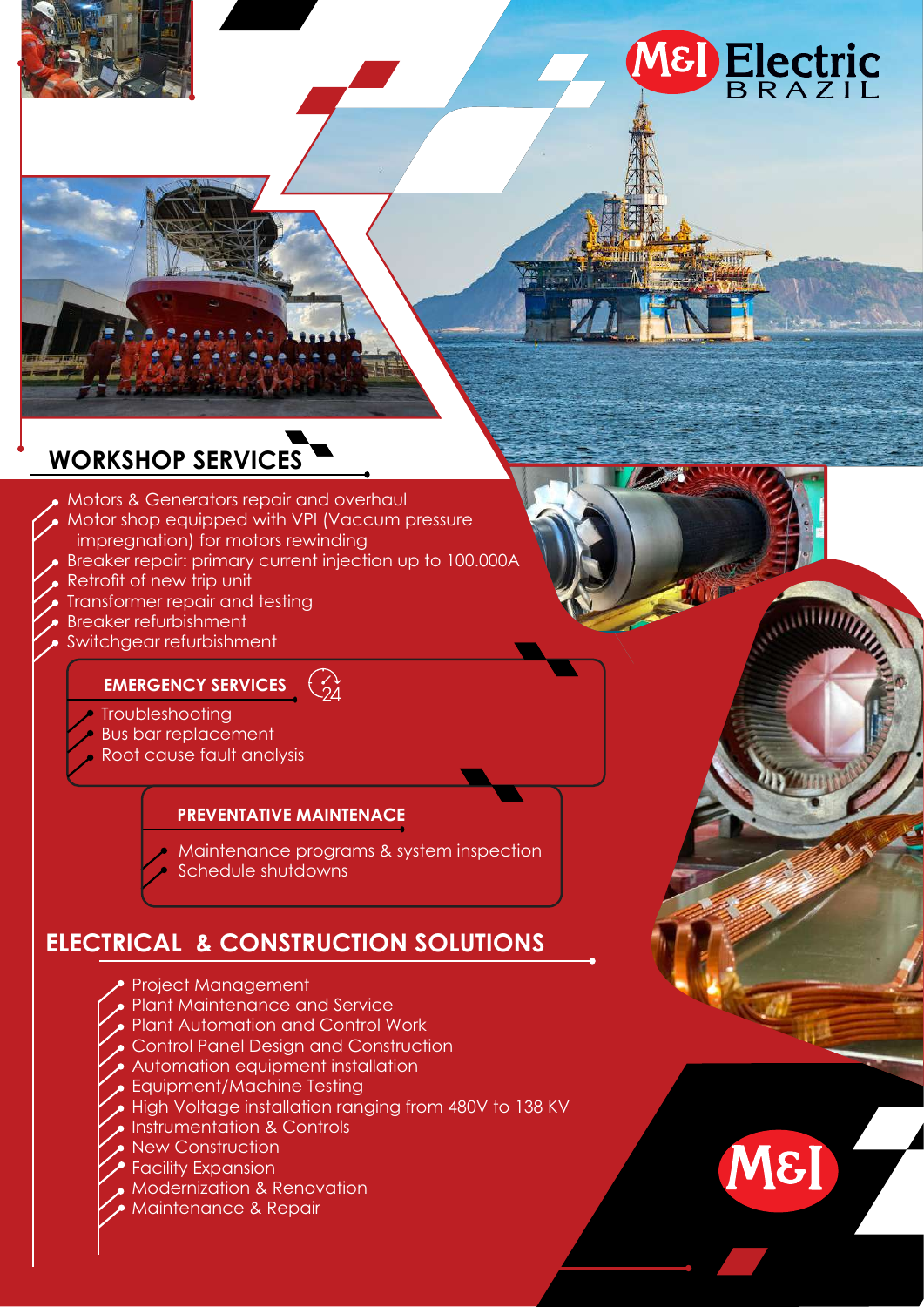# M8 Electric

 $\sqrt{2}$ 

M&I

# **WORKSHOP SERVICES**

Motors & Generators repair and overhaul Motor shop equipped with VPI (Vaccum pressure impregnation) for motors rewinding Breaker repair: primary current injection up to 100.000A Retrofit of new trip unit Transformer repair and testing Breaker refurbishment Switchgear refurbishment  $\bigodot$ 

### **EMERGENCY SERVICES**

- **Troubleshooting**
- Bus bar replacement
- Root cause fault analysis

### **PREVENTATIVE MAINTENACE**

- Maintenance programs & system inspection
- Schedule shutdowns

# **ELECTRICAL & CONSTRUCTION SOLUTIONS**

- Project Management
- Plant Maintenance and Service
- Plant Automation and Control Work
- Control Panel Design and Construction
- Automation equipment installation
- Equipment/Machine Testing
- High Voltage installation ranging from 480V to 138 KV
- Instrumentation & Controls
- **New Construction**
- Facility Expansion
- Modernization & Renovation
- Maintenance & Repair